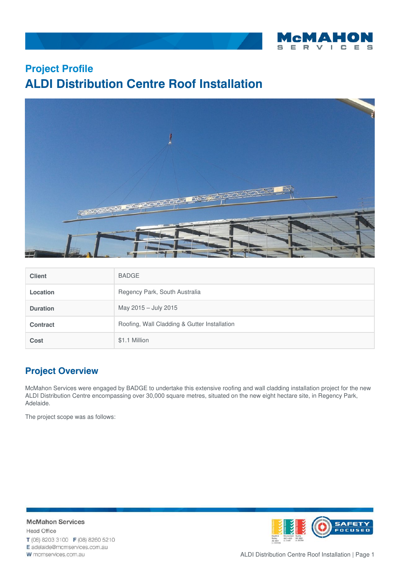

## **Project Profile ALDI Distribution Centre Roof Installation**



| <b>Client</b>   | <b>BADGE</b>                                 |
|-----------------|----------------------------------------------|
| Location        | Regency Park, South Australia                |
| <b>Duration</b> | May 2015 - July 2015                         |
| <b>Contract</b> | Roofing, Wall Cladding & Gutter Installation |
| <b>Cost</b>     | \$1.1 Million                                |

## **Project Overview**

McMahon Services were engaged by BADGE to undertake this extensive roofing and wall cladding installation project for the new ALDI Distribution Centre encompassing over 30,000 square metres, situated on the new eight hectare site, in Regency Park, Adelaide.

The project scope was as follows:





ALDI Distribution Centre Roof Installation | Page 1